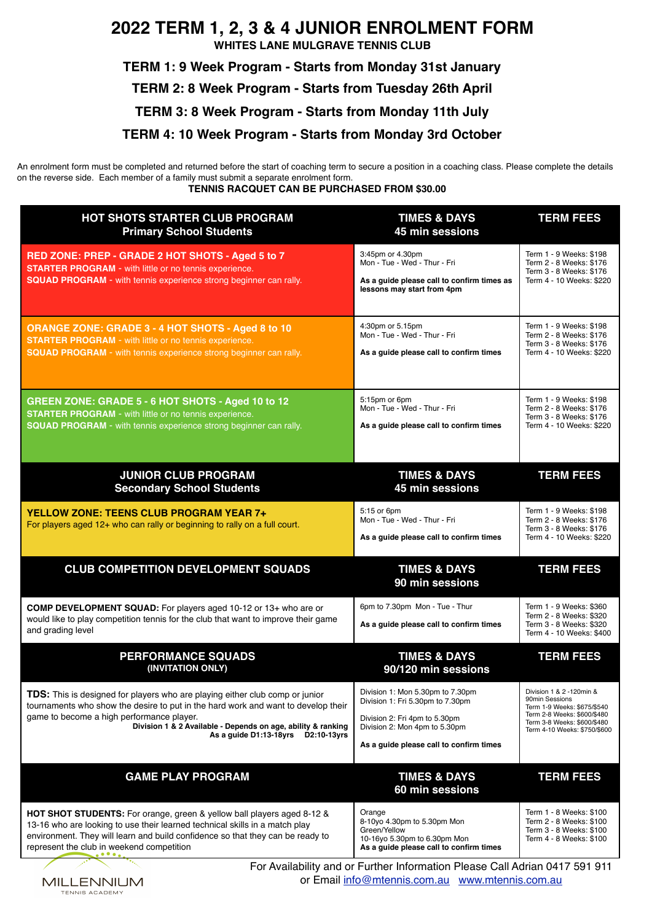# **2022 TERM 1, 2, 3 & 4 JUNIOR ENROLMENT FORM**

**WHITES LANE MULGRAVE TENNIS CLUB**

**TERM 1: 9 Week Program - Starts from Monday 31st January** 

**TERM 2: 8 Week Program - Starts from Tuesday 26th April** 

**TERM 3: 8 Week Program - Starts from Monday 11th July** 

## **TERM 4: 10 Week Program - Starts from Monday 3rd October**

An enrolment form must be completed and returned before the start of coaching term to secure a position in a coaching class. Please complete the details on the reverse side. Each member of a family must submit a separate enrolment form.

**TENNIS RACQUET CAN BE PURCHASED FROM \$30.00** 

| HOT SHOTS STARTER CLUB PROGRAM<br><b>Primary School Students</b>                                                                                                                                                                                                                                                     | <b>TIMES &amp; DAYS</b><br>45 min sessions                                                                                                                                        | <b>TERM FEES</b>                                                                                                                                                        |
|----------------------------------------------------------------------------------------------------------------------------------------------------------------------------------------------------------------------------------------------------------------------------------------------------------------------|-----------------------------------------------------------------------------------------------------------------------------------------------------------------------------------|-------------------------------------------------------------------------------------------------------------------------------------------------------------------------|
| RED ZONE: PREP - GRADE 2 HOT SHOTS - Aged 5 to 7<br><b>STARTER PROGRAM - with little or no tennis experience.</b><br><b>SQUAD PROGRAM - with tennis experience strong beginner can rally.</b>                                                                                                                        | 3:45pm or 4.30pm<br>Mon - Tue - Wed - Thur - Fri<br>As a guide please call to confirm times as<br>lessons may start from 4pm                                                      | Term 1 - 9 Weeks: \$198<br>Term 2 - 8 Weeks: \$176<br>Term 3 - 8 Weeks: \$176<br>Term 4 - 10 Weeks: \$220                                                               |
| <b>ORANGE ZONE: GRADE 3 - 4 HOT SHOTS - Aged 8 to 10</b><br><b>STARTER PROGRAM - with little or no tennis experience.</b><br><b>SQUAD PROGRAM - with tennis experience strong beginner can rally.</b>                                                                                                                | 4:30pm or 5.15pm<br>Mon - Tue - Wed - Thur - Fri<br>As a guide please call to confirm times                                                                                       | Term 1 - 9 Weeks: \$198<br>Term 2 - 8 Weeks: \$176<br>Term 3 - 8 Weeks: \$176<br>Term 4 - 10 Weeks: \$220                                                               |
| GREEN ZONE: GRADE 5 - 6 HOT SHOTS - Aged 10 to 12<br><b>STARTER PROGRAM</b> - with little or no tennis experience.<br>SQUAD PROGRAM - with tennis experience strong beginner can rally.                                                                                                                              | 5:15pm or 6pm<br>Mon - Tue - Wed - Thur - Fri<br>As a guide please call to confirm times                                                                                          | Term 1 - 9 Weeks: \$198<br>Term 2 - 8 Weeks: \$176<br>Term 3 - 8 Weeks: \$176<br>Term 4 - 10 Weeks: \$220                                                               |
| <b>JUNIOR CLUB PROGRAM</b><br><b>Secondary School Students</b>                                                                                                                                                                                                                                                       | <b>TIMES &amp; DAYS</b><br>45 min sessions                                                                                                                                        | <b>TERM FEES</b>                                                                                                                                                        |
| <b>YELLOW ZONE: TEENS CLUB PROGRAM YEAR 7+</b><br>For players aged 12+ who can rally or beginning to rally on a full court.                                                                                                                                                                                          | 5:15 or 6pm<br>Mon - Tue - Wed - Thur - Fri<br>As a guide please call to confirm times                                                                                            | Term 1 - 9 Weeks: \$198<br>Term 2 - 8 Weeks: \$176<br>Term 3 - 8 Weeks: \$176<br>Term 4 - 10 Weeks: \$220                                                               |
| <b>CLUB COMPETITION DEVELOPMENT SQUADS</b>                                                                                                                                                                                                                                                                           | <b>TIMES &amp; DAYS</b><br>90 min sessions                                                                                                                                        | <b>TERM FEES</b>                                                                                                                                                        |
| COMP DEVELOPMENT SQUAD: For players aged 10-12 or 13+ who are or<br>would like to play competition tennis for the club that want to improve their game<br>and grading level                                                                                                                                          | 6pm to 7.30pm Mon - Tue - Thur<br>As a guide please call to confirm times                                                                                                         | Term 1 - 9 Weeks: \$360<br>Term 2 - 8 Weeks: \$320<br>Term 3 - 8 Weeks: \$320<br>Term 4 - 10 Weeks: \$400                                                               |
| <b>PERFORMANCE SQUADS</b><br>(INVITATION ONLY)                                                                                                                                                                                                                                                                       | <b>TIMES &amp; DAYS</b><br>90/120 min sessions                                                                                                                                    | <b>TERM FEES</b>                                                                                                                                                        |
| TDS: This is designed for players who are playing either club comp or junior<br>tournaments who show the desire to put in the hard work and want to develop their<br>game to become a high performance player.<br>Division 1 & 2 Available - Depends on age, ability & ranking<br>As a guide D1:13-18yrs D2:10-13yrs | Division 1: Mon 5.30pm to 7.30pm<br>Division 1: Fri 5.30pm to 7.30pm<br>Division 2: Fri 4pm to 5.30pm<br>Division 2: Mon 4pm to 5.30pm<br>As a guide please call to confirm times | Division 1 & 2 -120min &<br>90min Sessions<br>Term 1-9 Weeks: \$675/\$540<br>Term 2-8 Weeks: \$600/\$480<br>Term 3-8 Weeks: \$600/\$480<br>Term 4-10 Weeks: \$750/\$600 |
| <b>GAME PLAY PROGRAM</b>                                                                                                                                                                                                                                                                                             | <b>TIMES &amp; DAYS</b><br>60 min sessions                                                                                                                                        | <b>TERM FEES</b>                                                                                                                                                        |
| <b>HOT SHOT STUDENTS:</b> For orange, green & yellow ball players aged 8-12 &<br>13-16 who are looking to use their learned technical skills in a match play<br>environment. They will learn and build confidence so that they can be ready to<br>represent the club in weekend competition<br>$\cdots$              | Orange<br>8-10yo 4.30pm to 5.30pm Mon<br>Green/Yellow<br>10-16yo 5.30pm to 6.30pm Mon<br>As a guide please call to confirm times                                                  | Term 1 - 8 Weeks: \$100<br>Term 2 - 8 Weeks: \$100<br>Term 3 - 8 Weeks: \$100<br>Term 4 - 8 Weeks: \$100                                                                |



For Availability and or Further Information Please Call Adrian 0417 591 911 or Email [info@mtennis.com.au](mailto:info@mtennis.com.au) [www.mtennis.com.au](http://www.mtennis.com.au)